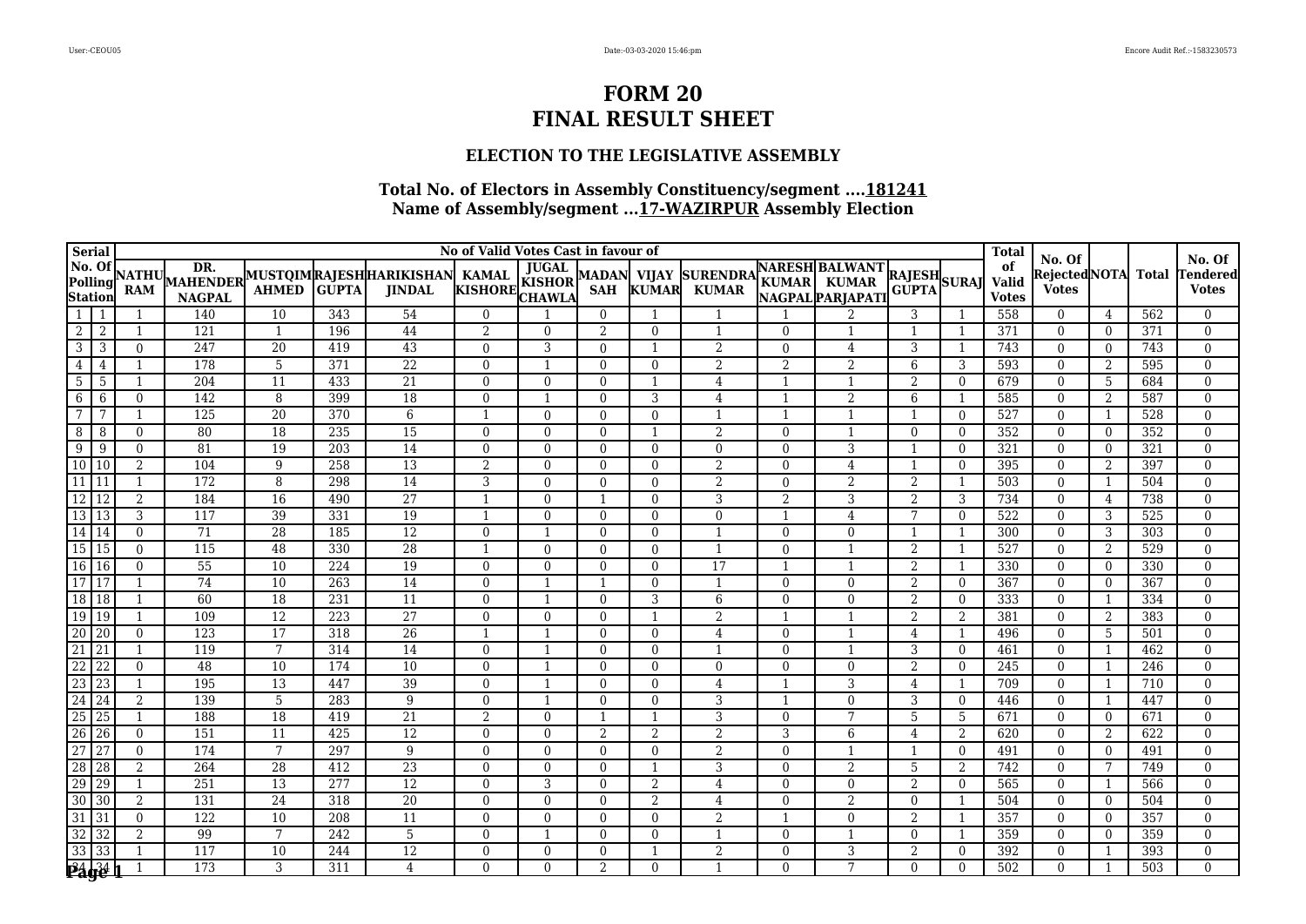### **ELECTION TO THE LEGISLATIVE ASSEMBLY**

| Serial                                                                                                                                                                                                                                                                     |                            |                            |                         |                                    |                  |                                                         | No of Valid Votes Cast in favour of |                                                |                           |                          |                                 |                      |                                                          |                              |                | <b>Total</b>                |                                        |                                |              | No. Of                   |
|----------------------------------------------------------------------------------------------------------------------------------------------------------------------------------------------------------------------------------------------------------------------------|----------------------------|----------------------------|-------------------------|------------------------------------|------------------|---------------------------------------------------------|-------------------------------------|------------------------------------------------|---------------------------|--------------------------|---------------------------------|----------------------|----------------------------------------------------------|------------------------------|----------------|-----------------------------|----------------------------------------|--------------------------------|--------------|--------------------------|
| No. Of<br>Polling<br><b>Station</b>                                                                                                                                                                                                                                        |                            | <b>NATHU</b><br><b>RAM</b> | <b>NAGPAL</b>           | <b>AHMED</b>                       | <b>GUPTA</b>     | MAHENDER MUSTOIMRAJESHHARIKISHAN KAMAL<br><b>JINDAL</b> | <b>KISHORE</b>                      | <b>JUGAL</b><br><b>KISHOR</b><br><b>CHAWLA</b> | MADAN VIJAY<br><b>SAH</b> | <b>KUMAR</b>             | <b>SURENDRA</b><br><b>KUMAR</b> |                      | <b>NARESH BALWANT</b><br>KUMAR KUMAR<br>NAGPAL PARJAPATI | <b>RAJESH</b><br>GUPTA SURAJ |                | of<br>Valid<br><b>Votes</b> | No. Of<br>RejectedNOTA<br><b>Votes</b> |                                | <b>Total</b> | endered<br><b>Votes</b>  |
| $\overline{1}$                                                                                                                                                                                                                                                             | -1                         |                            | 140                     | 10                                 | 343              | 54                                                      | $\Omega$                            |                                                | $\mathbf{0}$              |                          |                                 |                      |                                                          | 3                            |                | 558                         | $\overline{0}$                         | 4                              | 562          | $\Omega$                 |
| $\overline{2}$                                                                                                                                                                                                                                                             | 2                          |                            | 121                     | $\overline{1}$                     | 196              | 44                                                      | 2                                   | $\theta$                                       | 2                         | $\theta$                 | $\mathbf 1$                     | $\Omega$             |                                                          |                              |                | 371                         | $\theta$                               | $\overline{0}$                 | 371          | $\mathbf{0}$             |
| $\overline{3}$                                                                                                                                                                                                                                                             | 3                          | $\theta$                   | 247                     | 20                                 | 419              | 43                                                      | $\mathbf{0}$                        | 3                                              | $\Omega$                  | $\mathbf{1}$             | $\overline{2}$                  | $\Omega$             | 4                                                        | 3                            |                | 743                         | $\theta$                               | $\overline{0}$                 | 743          | $\mathbf{0}$             |
| $\overline{4}$                                                                                                                                                                                                                                                             | $\overline{4}$             | 1                          | 178                     | $\overline{5}$                     | 371              | $\overline{22}$                                         | $\mathbf{0}$                        | $\mathbf{1}$                                   | $\Omega$                  | $\theta$                 | 2                               | $\overline{2}$       | 2                                                        | 6                            | 3              | 593                         | $\theta$                               | 2                              | 595          | $\mathbf{0}$             |
| $\overline{5}$                                                                                                                                                                                                                                                             | $\overline{5}$             | $\mathbf{1}$               | 204                     | $\overline{11}$                    | 433              | 21                                                      | $\mathbf{0}$                        | $\mathbf{0}$                                   | $\Omega$                  | $\mathbf{1}$             | $\overline{4}$                  | $\mathbf{1}$         |                                                          | 2                            | $\Omega$       | 679                         | $\theta$                               | 5                              | 684          | $\mathbf{0}$             |
| 6                                                                                                                                                                                                                                                                          | 6                          | $\mathbf{0}$               | 142                     | 8                                  | 399              | 18                                                      | $\mathbf{0}$                        | $\mathbf{1}$                                   | $\mathbf{0}$              | 3                        | $\overline{4}$                  |                      | 2                                                        | 6                            | -1             | 585                         | $\theta$                               | 2                              | 587          | $\mathbf{0}$             |
| $\overline{7}$                                                                                                                                                                                                                                                             | 7                          | $\mathbf 1$                | $\overline{125}$        | 20                                 | 370              | 6                                                       | $\mathbf{1}$                        | $\theta$                                       | $\Omega$                  | $\theta$                 | $\mathbf{1}$                    |                      |                                                          |                              | $\Omega$       | 527                         | $\theta$                               | 1                              | 528          | $\mathbf{0}$             |
| 8                                                                                                                                                                                                                                                                          | 8                          | $\Omega$                   | 80                      | 18                                 | 235              | 15                                                      | $\Omega$                            | $\Omega$                                       | $\Omega$                  |                          | $\overline{2}$                  | $\Omega$             |                                                          | $\theta$                     | $\Omega$       | 352                         | $\theta$                               | $\overline{0}$                 | 352          | $\Omega$                 |
| $\overline{9}$                                                                                                                                                                                                                                                             | 9                          | $\theta$                   | 81                      | 19                                 | $\overline{203}$ | 14                                                      | $\Omega$                            | $\theta$                                       | $\overline{0}$            | $\Omega$                 | $\Omega$                        | $\Omega$             | 3                                                        |                              | $\Omega$       | 321                         | $\Omega$                               | $\mathbf{0}$                   | 321          | $\mathbf{0}$             |
| $\overline{10}$                                                                                                                                                                                                                                                            | $\vert$ 10                 | $\overline{2}$             | 104                     | 9                                  | 258              | 13                                                      | 2                                   | $\Omega$                                       | $\mathbf{0}$              | $\theta$                 | $\overline{2}$                  | $\Omega$             | 4                                                        |                              | $\Omega$       | 395                         | $\Omega$                               | $\overline{2}$                 | 397          | $\mathbf{0}$             |
| $\overline{11}$                                                                                                                                                                                                                                                            | 11                         | $\mathbf 1$                | 172                     | 8                                  | 298              | $\overline{14}$                                         | 3                                   | $\overline{0}$                                 | $\overline{0}$            | $\theta$                 | $\overline{2}$                  | $\Omega$             | $\overline{2}$                                           | 2                            |                | 503                         | $\overline{0}$                         | 1                              | 504          | $\mathbf{0}$             |
| $\overline{12}$                                                                                                                                                                                                                                                            | 12                         | 2                          | 184                     | 16                                 | 490              | 27                                                      | -1                                  | $\Omega$                                       | -1                        | $\theta$                 | 3                               | $\mathfrak{D}$       | 3                                                        | 2                            | 3              | 734                         | $\Omega$                               | 4                              | 738          | $\Omega$                 |
| $\overline{13}$                                                                                                                                                                                                                                                            | 13                         | 3                          | 117                     | 39                                 | 331              | 19                                                      | $\mathbf{1}$                        | $\Omega$                                       | $\Omega$                  | $\Omega$                 | $\theta$                        |                      | $\overline{4}$                                           | $7\phantom{.0}$              | $\Omega$       | 522                         | $\theta$                               | 3                              | 525          | $\Omega$                 |
|                                                                                                                                                                                                                                                                            |                            | $\Omega$                   | 71                      | 28                                 | 185              | $\overline{12}$                                         | $\mathbf{0}$                        | $\mathbf{1}$                                   | $\mathbf{0}$              | $\theta$                 | $\mathbf{1}$                    | $\Omega$             | $\theta$                                                 | -1                           | -1             | 300                         | $\theta$                               | 3                              | 303          | $\Omega$                 |
|                                                                                                                                                                                                                                                                            |                            | $\Omega$                   | 115                     | 48                                 | 330              | $\overline{28}$                                         | -1                                  | $\mathbf{0}$                                   | $\mathbf{0}$              | $\theta$                 |                                 | $\Omega$             |                                                          | 2                            |                | 527                         | $\overline{0}$                         | 2                              | 529          | $\mathbf{0}$             |
|                                                                                                                                                                                                                                                                            |                            | $\mathbf{0}$               | $\overline{55}$         | 10                                 | 224              | 19                                                      | $\mathbf{0}$                        | $\mathbf{0}$                                   | $\mathbf{0}$              | $\theta$                 | 17                              |                      |                                                          | 2                            |                | 330                         | $\mathbf{0}$                           | $\bf{0}$                       | 330          | $\Omega$                 |
|                                                                                                                                                                                                                                                                            |                            |                            | 74                      | 10                                 | 263              | 14                                                      | $\Omega$                            |                                                |                           | $\Omega$                 |                                 | $\Omega$             | $\Omega$                                                 | 2                            | $\theta$       | 367                         | $\theta$                               | $\overline{0}$                 | 367          | $\Omega$                 |
|                                                                                                                                                                                                                                                                            |                            |                            | 60                      | 18                                 | 231              | 11                                                      | $\Omega$                            | $\overline{1}$                                 | $\Omega$                  | 3                        | 6                               | $\Omega$             | $\Omega$                                                 | 2                            | $\Omega$       | 333                         | $\theta$                               | 1                              | 334          | $\Omega$                 |
|                                                                                                                                                                                                                                                                            |                            | $\mathbf 1$                | 109                     | 12                                 | 223              | $\overline{27}$                                         | $\theta$                            | $\mathbf{0}$                                   | $\Omega$                  | $\overline{1}$           | $\overline{2}$                  |                      |                                                          | 2                            | $\overline{2}$ | 381                         | $\theta$                               | 2                              | 383          | $\mathbf{0}$             |
|                                                                                                                                                                                                                                                                            |                            | $\mathbf{0}$               | 123                     | $\overline{17}$                    | 318              | $\overline{26}$                                         | -1                                  | $\mathbf{1}$                                   | $\mathbf{0}$              | $\theta$                 | 4                               | $\Omega$             |                                                          | 4                            |                | 496                         | $\Omega$                               | -5                             | 501          | $\mathbf{0}$             |
|                                                                                                                                                                                                                                                                            |                            | 1                          | 119                     | $7\phantom{.0}$                    | 314              | 14                                                      | $\mathbf{0}$                        | $\mathbf{1}$                                   | $\Omega$                  | $\theta$                 | $\mathbf{1}$                    | $\Omega$             |                                                          | 3                            | $\theta$       | 461                         | $\theta$                               | 1                              | 462          | $\mathbf{0}$             |
|                                                                                                                                                                                                                                                                            |                            | $\Omega$                   | 48                      | 10                                 | 174              | 10                                                      | $\Omega$                            | $\mathbf{1}$                                   | $\Omega$                  | $\Omega$                 | $\Omega$                        | $\Omega$             | $\Omega$                                                 | 2                            | $\Omega$       | 245                         | $\Omega$                               | 1                              | 246          | $\Omega$                 |
|                                                                                                                                                                                                                                                                            |                            | $\mathbf 1$                | 195                     | 13                                 | 447              | $\overline{39}$                                         | $\Omega$                            | $\overline{1}$                                 | $\Omega$                  | $\theta$                 | $\overline{4}$                  |                      | 3                                                        | 4                            |                | 709                         | $\theta$                               | 1                              | 710          | $\mathbf{0}$             |
|                                                                                                                                                                                                                                                                            |                            | $\overline{2}$             | 139                     | $\overline{5}$                     | 283              | 9                                                       | $\Omega$                            | $\overline{1}$                                 | $\Omega$                  | $\theta$                 | 3                               |                      | $\Omega$<br>7                                            | 3                            | $\Omega$       | 446                         | $\overline{0}$                         | -1                             | 447          | $\mathbf{0}$             |
| $\begin{array}{c c} 14 & 14 \\ \hline 15 & 15 \\ \hline 16 & 16 \\ \hline 17 & 17 \\ \hline 18 & 18 \\ \hline 19 & 19 \\ \hline 20 & 20 \\ \hline 21 & 21 \\ \hline 22 & 22 \\ \hline 23 & 23 \\ \hline 24 & 24 \\ \hline 25 & 25 \\ \hline 26 & 26 \\ \hline \end{array}$ |                            |                            | 188                     | $\overline{18}$                    | 419              | 21                                                      | $\overline{2}$                      | $\overline{0}$                                 |                           |                          | 3                               | $\Omega$             |                                                          | 5                            | 5              | 671                         | $\mathbf{0}$                           | $\overline{0}$                 | 671          | $\mathbf{0}$             |
|                                                                                                                                                                                                                                                                            |                            | $\theta$                   | 151                     | 11                                 | 425              | 12                                                      | $\Omega$                            | $\Omega$                                       | $\overline{2}$            | $\overline{2}$           | $\overline{2}$                  | 3                    | 6                                                        | 4                            | 2              | 620                         | $\Omega$                               | $\overline{2}$                 | 622          | $\Omega$                 |
| $\frac{27}{28}$                                                                                                                                                                                                                                                            | $\overline{27}$            | $\theta$                   | 174                     | 7                                  | 297              | 9                                                       | $\Omega$                            | $\Omega$                                       | $\Omega$                  | $\theta$<br>$\mathbf{1}$ | $\overline{2}$                  | $\Omega$             |                                                          |                              | $\Omega$       | 491                         | $\theta$                               | $\Omega$                       | 491          | $\Omega$                 |
|                                                                                                                                                                                                                                                                            | 28<br>29                   | $\overline{2}$<br>-1       | 264                     | 28<br>$\overline{13}$              | 412<br>277       | $\overline{23}$<br>12                                   | $\mathbf{0}$<br>$\Omega$            | $\mathbf{0}$<br>3                              | $\Omega$                  |                          | 3                               | $\Omega$<br>$\Omega$ | 2                                                        | 5                            | 2              | 742                         | $\theta$                               | 7                              | 749          | $\mathbf{0}$<br>$\Omega$ |
| $\frac{29}{30}$                                                                                                                                                                                                                                                            |                            |                            | 251                     |                                    |                  | $\overline{20}$                                         |                                     |                                                | $\Omega$                  | 2                        | $\overline{4}$                  |                      | $\Omega$                                                 | 2                            | $\Omega$       | 565                         | $\theta$                               | 1                              | 566          |                          |
| 31                                                                                                                                                                                                                                                                         | $\sqrt{30}$<br>$\sqrt{31}$ | 2<br>$\Omega$              | 131<br>$\overline{122}$ | $\overline{24}$<br>$\overline{10}$ | 318<br>208       | $\overline{11}$                                         | $\Omega$<br>$\Omega$                | $\mathbf{0}$                                   | $\Omega$                  | 2                        | $\overline{4}$<br>2             | $\Omega$             | $\overline{2}$<br>$\theta$                               | $\theta$<br>2                | $\mathbf{1}$   | 504<br>357                  | $\theta$                               | $\overline{0}$                 | 504<br>357   | $\Omega$<br>$\Omega$     |
|                                                                                                                                                                                                                                                                            |                            | $\overline{2}$             | 99                      | $7\phantom{.0}$                    | 242              | 5                                                       | $\Omega$                            | $\overline{0}$<br>$\mathbf{1}$                 | $\mathbf{0}$<br>$\Omega$  | $\theta$<br>$\theta$     |                                 | $\Omega$             |                                                          | $\theta$                     |                | 359                         | $\theta$<br>$\theta$                   | $\overline{0}$<br>$\mathbf{0}$ | 359          | $\Omega$                 |
| $\frac{32}{32} \frac{32}{32}$<br>$\frac{33}{33} \frac{33}{33}$                                                                                                                                                                                                             |                            |                            | 117                     | 10                                 | 244              | $\overline{12}$                                         | $\Omega$                            | $\theta$                                       | $\Omega$                  |                          | $\overline{2}$                  | $\Omega$             | 3                                                        | 2                            | $\Omega$       | 392                         | $\theta$                               | 1                              | 393          | $\Omega$                 |
|                                                                                                                                                                                                                                                                            |                            |                            | 173                     | 3                                  | 311              | $\overline{4}$                                          | $\Omega$                            | $\Omega$                                       | 2                         | $\Omega$                 |                                 | $\Omega$             | 7                                                        | $\Omega$                     | $\Omega$       | 502                         | $\Omega$                               | $\mathbf{1}$                   | 503          | $\Omega$                 |
|                                                                                                                                                                                                                                                                            |                            |                            |                         |                                    |                  |                                                         |                                     |                                                |                           |                          |                                 |                      |                                                          |                              |                |                             |                                        |                                |              |                          |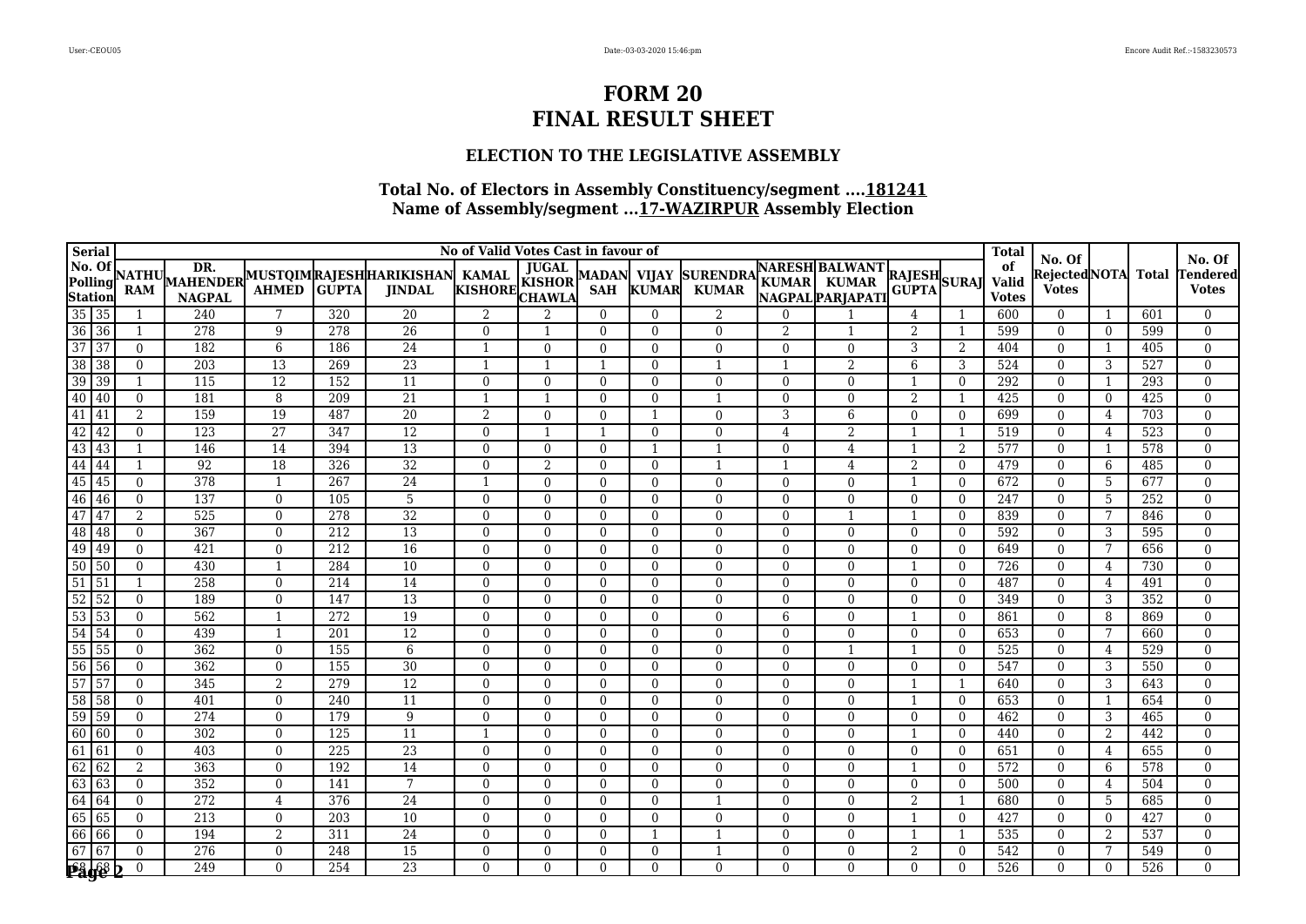### **ELECTION TO THE LEGISLATIVE ASSEMBLY**

| Serial                                                                                                        | No of Valid Votes Cast in favour of |                     |                  |                 |              |                                                         |                |                |                            |                              |                                 |                          |                                                          |                              | <b>Total</b>   |                             |                                                |                | No. Of       |                         |
|---------------------------------------------------------------------------------------------------------------|-------------------------------------|---------------------|------------------|-----------------|--------------|---------------------------------------------------------|----------------|----------------|----------------------------|------------------------------|---------------------------------|--------------------------|----------------------------------------------------------|------------------------------|----------------|-----------------------------|------------------------------------------------|----------------|--------------|-------------------------|
|                                                                                                               |                                     | <b>NATHU</b><br>RAM | <b>NAGPAL</b>    | <b>AHMED</b>    | <b>GUPTA</b> | MAHENDER MUSTOIMRAJESHHARIKISHAN KAMAL<br><b>JINDAL</b> | KISHORE KISHOR | <b>JUGAL</b>   | <b>MADAN</b><br><b>SAH</b> | <b>VIJAY</b><br><b>KUMAR</b> | <b>SURENDRA</b><br><b>KUMAR</b> |                          | <b>NARESH BALWANT</b><br>KUMAR KUMAR<br>NAGPAL PARJAPATI | <b>RAJESH</b><br>GUPTA SURAJ |                | of<br>Valid<br><b>Votes</b> | No. Of<br><b>Rejected NOTA</b><br><b>Votes</b> |                | <b>Total</b> | endered<br><b>Votes</b> |
|                                                                                                               |                                     |                     | 240              | $7\phantom{.0}$ | 320          | 20                                                      | 2              | 2              | $\theta$                   | $\theta$                     | 2                               | $\Omega$                 |                                                          | 4                            |                | 600                         | $\theta$                                       | -1             | 601          | $\Omega$                |
|                                                                                                               |                                     |                     | 278              | 9               | 278          | $\overline{26}$                                         | $\Omega$       | $\mathbf{1}$   | $\Omega$                   | $\theta$                     | $\theta$                        | $\overline{\mathcal{L}}$ |                                                          | 2                            |                | 599                         | $\theta$                                       | $\overline{0}$ | 599          | $\mathbf{0}$            |
|                                                                                                               |                                     | $\mathbf{0}$        | 182              | 6               | 186          | 24                                                      | $\mathbf{1}$   | $\mathbf{0}$   | $\Omega$                   | $\theta$                     | $\overline{0}$                  | $\Omega$                 | $\mathbf{0}$                                             | 3                            | $\overline{2}$ | 404                         | $\theta$                                       | 1              | 405          | $\mathbf{0}$            |
|                                                                                                               |                                     | $\mathbf{0}$        | 203              | $\overline{13}$ | 269          | $\overline{23}$                                         | $\mathbf{1}$   | $\mathbf{1}$   |                            | $\theta$                     | $\overline{1}$                  |                          | 2                                                        | 6                            | 3              | 524                         | $\theta$                                       | 3              | 527          | $\mathbf{0}$            |
|                                                                                                               |                                     | 1                   | 115              | $\overline{12}$ | 152          | 11                                                      | $\Omega$       | $\mathbf{0}$   | $\Omega$                   | $\theta$                     | $\theta$                        | $\Omega$                 | $\Omega$                                                 | -1                           | $\theta$       | 292                         | $\theta$                                       | 1              | 293          | $\mathbf{0}$            |
|                                                                                                               |                                     | $\Omega$            | 181              | 8               | 209          | $\overline{21}$                                         | -1             | $\mathbf{1}$   | $\Omega$                   | $\theta$                     | -1                              | $\Omega$                 | $\Omega$                                                 | 2                            | -1             | 425                         | $\theta$                                       | $\theta$       | 425          | $\mathbf{0}$            |
|                                                                                                               |                                     | $\overline{2}$      | 159              | 19              | 487          | 20                                                      | 2              | $\theta$       | $\Omega$                   | -1                           | $\Omega$                        | 3                        | 6                                                        | $\Omega$                     | $\Omega$       | 699                         | $\overline{0}$                                 | 4              | 703          | $\mathbf{0}$            |
|                                                                                                               |                                     | $\theta$            | 123              | 27              | 347          | $\overline{12}$                                         | $\mathbf{0}$   |                |                            | $\Omega$                     | $\Omega$                        | $\overline{4}$           | $\overline{2}$                                           |                              |                | 519                         | $\Omega$                                       | $\overline{4}$ | 523          | $\mathbf{0}$            |
|                                                                                                               |                                     |                     | 146              | 14              | 394          | 13                                                      | $\Omega$       | $\overline{0}$ | $\mathbf{0}$               | $\mathbf{1}$                 | $\mathbf{1}$                    | $\Omega$                 | 4                                                        |                              | 2              | 577                         | $\Omega$                                       | 1              | 578          | $\mathbf{0}$            |
|                                                                                                               |                                     |                     | 92               | $\overline{18}$ | 326          | $\overline{32}$                                         | $\Omega$       | $\overline{2}$ | $\Omega$                   | $\theta$                     | 1                               |                          | 4                                                        | 2                            | $\Omega$       | 479                         | $\theta$                                       | 6              | 485          | $\Omega$                |
|                                                                                                               |                                     | $\Omega$            | 378              | 1               | 267          | 24                                                      | $\overline{1}$ | $\mathbf{0}$   | $\Omega$                   | $\theta$                     | $\overline{0}$                  | $\Omega$                 | $\Omega$                                                 |                              | $\Omega$       | 672                         | $\theta$                                       | -5             | 677          | $\mathbf{0}$            |
|                                                                                                               |                                     | $\Omega$            | 137              | $\theta$        | 105          | 5                                                       | $\mathbf{0}$   | $\Omega$       | $\mathbf{0}$               | $\theta$                     | $\theta$                        | $\Omega$                 | $\Omega$                                                 | $\Omega$                     | $\Omega$       | 247                         | $\theta$                                       | 5              | 252          | $\Omega$                |
|                                                                                                               |                                     | 2                   | 525              | $\mathbf{0}$    | 278          | $\overline{32}$                                         | $\Omega$       | $\overline{0}$ | $\mathbf{0}$               | $\theta$                     | $\theta$                        | $\Omega$                 |                                                          |                              | $\Omega$       | 839                         | $\theta$                                       | 7              | 846          | $\mathbf{0}$            |
|                                                                                                               |                                     | $\Omega$            | 367              | $\overline{0}$  | 212          | $\overline{13}$                                         | $\Omega$       | $\overline{0}$ | $\mathbf{0}$               | $\theta$                     | $\overline{0}$                  | $\Omega$                 | $\theta$                                                 | $\Omega$                     | $\Omega$       | 592                         | $\overline{0}$                                 | 3              | 595          | $\mathbf{0}$            |
|                                                                                                               |                                     | $\Omega$            | 421              | $\theta$        | 212          | 16                                                      | $\Omega$       | $\theta$       | $\Omega$                   | $\theta$                     | $\theta$                        | 0                        | $\Omega$                                                 | $\Omega$                     | $\Omega$       | 649                         | $\mathbf{0}$                                   | 7              | 656          | $\Omega$                |
|                                                                                                               |                                     | $\Omega$            | 430              | $\mathbf{1}$    | 284          | 10                                                      | $\Omega$       | $\theta$       | $\Omega$                   | $\theta$                     | $\theta$                        | $\Omega$                 | $\overline{0}$                                           |                              | $\Omega$       | 726                         | $\theta$                                       | 4              | 730          | $\Omega$                |
|                                                                                                               |                                     |                     | 258              | $\mathbf{0}$    | 214          | 14                                                      | $\Omega$       | $\Omega$       | $\Omega$                   | $\theta$                     | $\Omega$                        | $\Omega$                 | $\Omega$                                                 | $\overline{0}$               | $\Omega$       | 487                         | $\Omega$                                       | 4              | 491          | $\Omega$                |
|                                                                                                               |                                     | $\mathbf{0}$        | 189              | $\mathbf{0}$    | 147          | 13                                                      | $\mathbf{0}$   | $\overline{0}$ | $\mathbf{0}$               | $\theta$                     | $\overline{0}$                  | $\Omega$                 | $\Omega$                                                 | $\theta$                     | $\overline{0}$ | 349                         | $\theta$                                       | 3              | 352          | $\mathbf{0}$            |
|                                                                                                               |                                     | $\Omega$            | 562              | $\overline{1}$  | 272          | 19                                                      | $\Omega$       | $\Omega$       | $\Omega$                   | $\theta$                     | $\theta$                        | 6                        | $\Omega$                                                 |                              | $\Omega$       | 861                         | $\theta$                                       | 8              | 869          | $\mathbf{0}$            |
|                                                                                                               |                                     | $\mathbf{0}$        | 439              | 1               | 201          | 12                                                      | $\mathbf{0}$   | $\mathbf{0}$   | $\Omega$                   | $\Omega$                     | $\theta$                        | $\Omega$                 | $\theta$                                                 | $\Omega$                     | $\Omega$       | 653                         | $\theta$                                       | 7              | 660          | $\mathbf{0}$            |
|                                                                                                               |                                     | $\theta$            | 362              | $\theta$        | 155          | 6                                                       | $\Omega$       | $\Omega$       | $\Omega$                   | $\Omega$                     | $\theta$                        | $\Omega$                 |                                                          |                              | $\Omega$       | 525                         | $\theta$                                       | 4              | 529          | $\mathbf{0}$            |
|                                                                                                               |                                     | $\mathbf{0}$        | 362              | $\theta$        | 155          | 30                                                      | $\Omega$       | $\theta$       | $\Omega$                   | $\theta$                     | $\theta$                        | $\Omega$                 | $\theta$                                                 | $\Omega$                     | $\Omega$       | 547                         | $\theta$                                       | 3              | 550          | $\mathbf{0}$            |
|                                                                                                               |                                     | $\mathbf{0}$        | 345              | 2               | 279          | $\overline{12}$                                         | $\mathbf{0}$   | $\mathbf{0}$   | $\mathbf{0}$               | $\theta$                     | $\overline{0}$                  | $\Omega$                 | $\overline{0}$                                           |                              |                | 640                         | $\mathbf{0}$                                   | 3              | 643          | $\mathbf{0}$            |
|                                                                                                               |                                     | $\mathbf{0}$        | 401              | $\overline{0}$  | 240          | 11                                                      | $\Omega$       | $\theta$       | $\Omega$                   | $\theta$                     | $\Omega$                        | $\Omega$                 | $\Omega$                                                 |                              | $\Omega$       | 653                         | $\theta$                                       | 1              | 654          | $\Omega$                |
| $\begin{array}{r} 33 \\ 54 \\ 55 \\ 55 \\ 56 \\ 56 \\ 57 \\ 58 \\ 59 \\ 59 \\ 60 \\ 60 \\ \hline \end{array}$ |                                     | $\theta$            | 274              | $\mathbf{0}$    | 179          | 9                                                       | $\Omega$       | $\theta$       | $\mathbf{0}$               | $\Omega$                     | $\Omega$                        | $\Omega$                 | $\Omega$                                                 | $\theta$                     | $\Omega$       | 462                         | $\Omega$                                       | 3              | 465          | $\theta$                |
|                                                                                                               |                                     | $\theta$            | 302              | $\mathbf{0}$    | 125          | 11                                                      | -1             | $\Omega$       | $\mathbf{0}$               | $\Omega$                     | $\theta$                        | $\Omega$                 | $\Omega$                                                 |                              | $\Omega$       | 440                         | $\Omega$                                       | $\overline{2}$ | 442          | $\mathbf{0}$            |
| $\overline{61}$                                                                                               | 61                                  | $\theta$            | 403              | $\mathbf{0}$    | 225          | $\overline{23}$                                         | $\mathbf{0}$   | $\overline{0}$ | $\mathbf{0}$               | $\theta$                     | $\overline{0}$                  | $\Omega$                 | $\mathbf{0}$                                             | $\overline{0}$               | $\Omega$       | 651                         | $\overline{0}$                                 | 4              | 655          | $\mathbf{0}$            |
| $\overline{62}$                                                                                               | 62                                  | 2                   | 363              | $\theta$        | 192          | 14                                                      | $\Omega$       | $\Omega$       | $\Omega$                   | $\theta$                     | $\theta$                        | $\Omega$                 | $\theta$                                                 |                              | $\Omega$       | 572                         | $\theta$                                       | 6              | 578          | $\mathbf{0}$            |
| 63                                                                                                            | 63                                  | $\Omega$            | 352              | $\theta$        | 141          | $7\phantom{.0}$                                         | $\Omega$       | $\Omega$       | $\theta$                   | $\Omega$                     | $\theta$                        | $\Omega$                 | $\Omega$                                                 | $\theta$                     | $\theta$       | 500                         | $\theta$                                       | 4              | 504          | $\Omega$                |
| $\frac{64}{65}$                                                                                               | 64                                  | $\Omega$            | $\overline{272}$ | $\overline{4}$  | 376          | 24                                                      | $\Omega$       | $\Omega$       | $\Omega$                   | $\Omega$                     | $\mathbf{1}$                    | $\Omega$                 | $\Omega$                                                 | 2                            | $\mathbf{1}$   | 680                         | $\theta$                                       | 5              | 685          | $\Omega$                |
|                                                                                                               | 65                                  | $\Omega$            | $\overline{213}$ | $\theta$        | 203          | $\overline{10}$                                         | $\Omega$       | $\theta$       | $\Omega$                   | $\theta$                     | $\theta$                        | $\Omega$                 | $\theta$                                                 |                              | $\theta$       | 427                         | $\theta$                                       | $\overline{0}$ | 427          | $\Omega$                |
|                                                                                                               | 66                                  | $\mathbf{0}$        | 194              | 2               | 311          | 24                                                      | $\mathbf{0}$   | $\mathbf{0}$   | $\mathbf{0}$               | -1                           |                                 | $\Omega$                 | $\mathbf{0}$                                             |                              |                | 535                         | $\mathbf{0}$                                   | 2              | 537          | $\mathbf{0}$            |
| $\boxed{67}$ $\boxed{67}$                                                                                     |                                     | $\Omega$            | $\overline{276}$ | $\theta$        | 248          | $\overline{15}$                                         | $\Omega$       | $\Omega$       | $\Omega$                   | $\theta$                     |                                 | $\Omega$                 | $\Omega$                                                 | 2                            | $\Omega$       | 542                         | $\Omega$                                       | 7              | 549          | $\Omega$                |
| <b>Påge</b>                                                                                                   |                                     | $\theta$            | 249              | $\Omega$        | 254          | $\overline{23}$                                         | $\Omega$       | $\Omega$       | $\Omega$                   | $\Omega$                     | $\Omega$                        | $\Omega$                 | $\Omega$                                                 | $\Omega$                     | $\Omega$       | 526                         | $\Omega$                                       | $\Omega$       | 526          | $\Omega$                |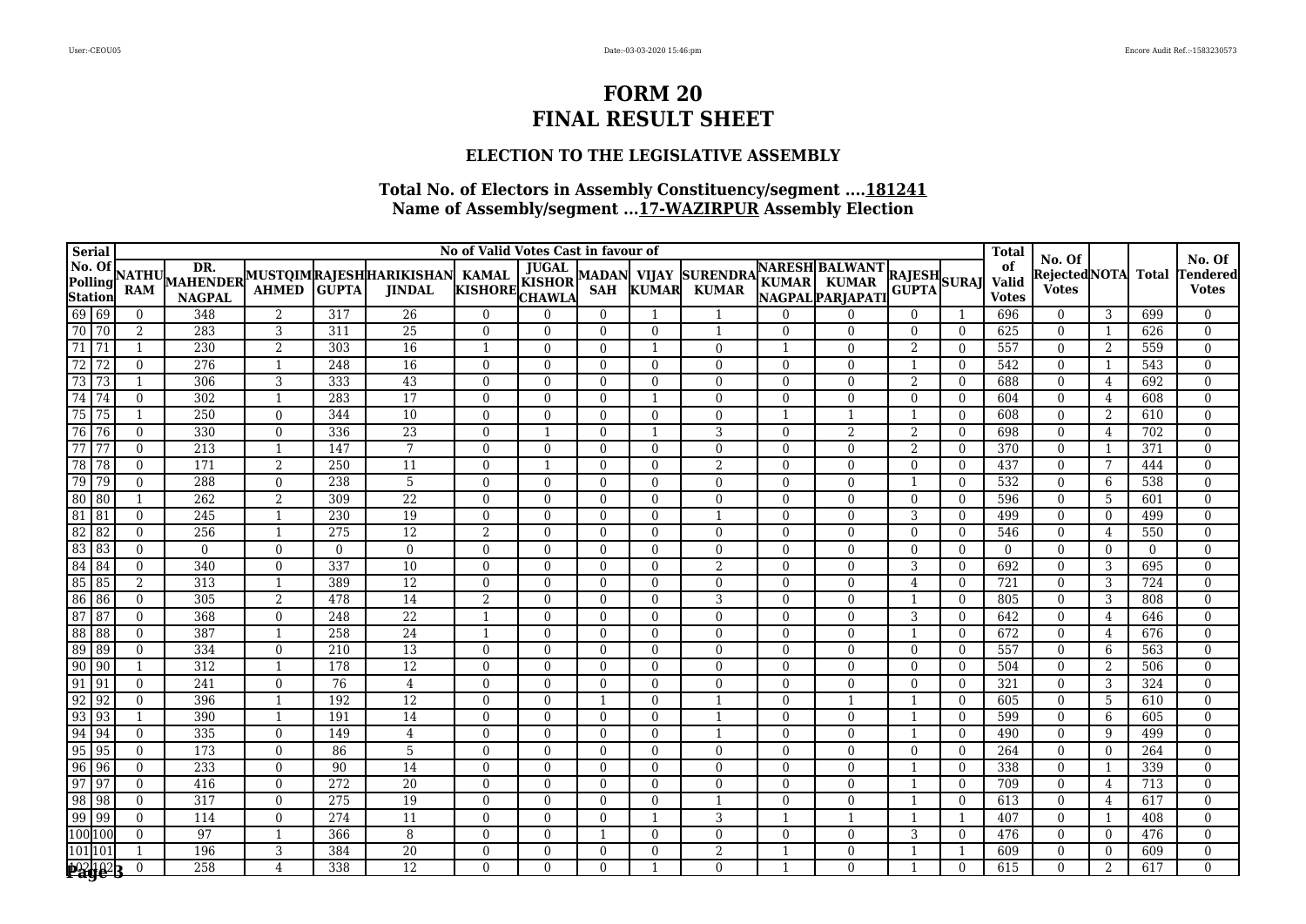### **ELECTION TO THE LEGISLATIVE ASSEMBLY**

| <b>Serial</b>                                                                                                 | No of Valid Votes Cast in favour of |                |                |              |                                                         |                |                |                            |                              |                                 |          |                                                          |                              |                | <b>Total</b>                | No. Of                       |                |              | No. Of                  |
|---------------------------------------------------------------------------------------------------------------|-------------------------------------|----------------|----------------|--------------|---------------------------------------------------------|----------------|----------------|----------------------------|------------------------------|---------------------------------|----------|----------------------------------------------------------|------------------------------|----------------|-----------------------------|------------------------------|----------------|--------------|-------------------------|
| <b>No. Of</b><br><b>Polling</b><br><b>Station</b><br>69 69<br>70 70                                           | <b>NATHU</b><br><b>RAM</b>          | <b>NAGPAL</b>  | <b>AHMED</b>   | <b>GUPTA</b> | MAHENDER MUSTOIMRAJESHHARIKISHAN KAMAL<br><b>JINDAL</b> | KISHORE KISHOR | <b>JUGAL</b>   | <b>MADAN</b><br><b>SAH</b> | <b>VIJAY</b><br><b>KUMAR</b> | <b>SURENDRA</b><br><b>KUMAR</b> |          | <b>NARESH BALWANT</b><br>KUMAR KUMAR<br>NAGPAL PARJAPATI | <b>RAJESH</b><br>GUPTA SURAJ |                | of<br>Valid<br><b>Votes</b> | RejectedNOTA<br><b>Votes</b> |                | <b>Total</b> | endered<br><b>Votes</b> |
|                                                                                                               | $\mathbf{0}$                        | 348            | 2              | 317          | 26                                                      | $\Omega$       | $\Omega$       | $\mathbf{0}$               |                              | $\mathbf{1}$                    | $\Omega$ | $\Omega$                                                 | $\theta$                     |                | 696                         | $\theta$                     | 3              | 699          | $\mathbf{0}$            |
|                                                                                                               | $\overline{2}$                      | 283            | 3              | 311          | $\overline{25}$                                         | $\mathbf{0}$   | $\overline{0}$ | $\mathbf{0}$               | $\mathbf{0}$                 | $\mathbf{1}$                    | $\Omega$ | $\Omega$                                                 | $\overline{0}$               | $\overline{0}$ | 625                         | $\overline{0}$               | 1              | 626          | $\mathbf{0}$            |
| $\begin{array}{ c c c }\n\hline\n71 & 71 \\ \hline\n72 & 72 \\ \hline\n\end{array}$                           | $\mathbf{1}$                        | 230            | 2              | 303          | 16                                                      | $\mathbf{1}$   | $\theta$       | $\Omega$                   | -1                           | $\theta$                        |          | $\theta$                                                 | 2                            | $\Omega$       | 557                         | $\theta$                     | 2              | 559          | $\Omega$                |
|                                                                                                               | $\theta$                            | 276            | 1              | 248          | 16                                                      | $\Omega$       | $\Omega$       | $\Omega$                   | $\Omega$                     | $\Omega$                        | $\Omega$ | $\Omega$                                                 | $\mathbf{1}$                 | $\Omega$       | 542                         | $\Omega$                     | 1              | 543          | $\Omega$                |
| $\overline{73}$<br>$\overline{73}$                                                                            | $\mathbf 1$                         | 306            | 3              | 333          | 43                                                      | $\Omega$       | $\Omega$       | $\Omega$                   | $\theta$                     | $\Omega$                        | $\Omega$ | $\Omega$                                                 | 2                            | $\Omega$       | 688                         | $\theta$                     | $\overline{4}$ | 692          | $\mathbf{0}$            |
| 74 74                                                                                                         | $\overline{0}$                      | 302            | 1              | 283          | $\overline{17}$                                         | $\Omega$       | $\mathbf{0}$   | $\Omega$                   | -1                           | $\Omega$                        | $\Omega$ | $\Omega$                                                 | $\Omega$                     | $\Omega$       | 604                         | $\overline{0}$               | $\overline{4}$ | 608          | $\mathbf{0}$            |
| $\overline{75}$<br>75                                                                                         |                                     | 250            | $\mathbf{0}$   | 344          | 10                                                      | $\mathbf{0}$   | $\overline{0}$ | $\mathbf{0}$               | $\Omega$                     | $\Omega$                        |          |                                                          |                              | $\Omega$       | 608                         | $\overline{0}$               | $\overline{2}$ | 610          | $\mathbf{0}$            |
| 76<br>76                                                                                                      | $\Omega$                            | 330            | $\mathbf{0}$   | 336          | $\overline{23}$                                         | $\Omega$       | $\mathbf{1}$   | $\mathbf{0}$               | $\mathbf{1}$                 | 3                               | $\Omega$ | $\overline{2}$                                           | 2                            | $\Omega$       | 698                         | $\Omega$                     | $\overline{4}$ | 702          | $\mathbf{0}$            |
| 77<br>77                                                                                                      | $\theta$                            | 213            | 1              | 147          | $7\phantom{.0}$                                         | $\Omega$       | $\Omega$       | $\Omega$                   | $\theta$                     | $\Omega$                        | $\Omega$ | $\theta$                                                 | 2                            | $\Omega$       | 370                         | $\theta$                     | -1             | 371          | $\Omega$                |
| $\overline{78}$<br>78                                                                                         | $\Omega$                            | 171            | 2              | 250          | 11                                                      | $\Omega$       | $\mathbf{1}$   | $\Omega$                   | $\theta$                     | $\overline{2}$                  | $\Omega$ | $\Omega$                                                 | $\theta$                     | $\Omega$       | 437                         | $\theta$                     | 7              | 444          | $\Omega$                |
| 79<br>79                                                                                                      | $\Omega$                            | 288            | $\theta$       | 238          | 5                                                       | $\Omega$       | $\Omega$       | $\Omega$                   | $\theta$                     | $\theta$                        | $\Omega$ | $\Omega$                                                 |                              | $\Omega$       | 532                         | $\theta$                     | 6              | 538          | $\Omega$                |
| $\overline{80}$<br>80                                                                                         |                                     | 262            | 2              | 309          | $\overline{22}$                                         | $\Omega$       | $\theta$       | $\Omega$                   | $\theta$                     | $\theta$                        | $\Omega$ | $\theta$                                                 | $\theta$                     | $\Omega$       | 596                         | $\theta$                     | 5              | 601          | $\Omega$                |
| $\begin{array}{ c c }\hline 81 \\ \hline 82 \\ \hline \end{array}$<br> 81                                     | $\Omega$                            | 245            | $\mathbf{1}$   | 230          | $\overline{19}$                                         | $\Omega$       | $\theta$       | $\overline{0}$             | $\theta$                     | $\mathbf{1}$                    | $\Omega$ | $\theta$                                                 | 3                            | $\Omega$       | 499                         | $\theta$                     | $\overline{0}$ | 499          | $\Omega$                |
| 82                                                                                                            | $\Omega$                            | 256            | 1              | 275          | $\overline{12}$                                         | 2              | $\mathbf{0}$   | $\mathbf{0}$               | $\theta$                     | $\overline{0}$                  | $\Omega$ | $\theta$                                                 | $\overline{0}$               | $\overline{0}$ | 546                         | $\overline{0}$               | 4              | 550          | $\mathbf{0}$            |
|                                                                                                               | $\Omega$                            | $\overline{0}$ | $\theta$       | $\Omega$     | $\theta$                                                | $\Omega$       | $\Omega$       | $\Omega$                   | $\Omega$                     | $\Omega$                        | $\Omega$ | $\Omega$                                                 | $\Omega$                     | $\Omega$       | $\theta$                    | $\Omega$                     | $\overline{0}$ | $\Omega$     | $\Omega$                |
| $\begin{array}{r} 62 & 62 \\ 83 & 83 \\ 84 & 84 \\ 85 & 85 \\ 86 & 86 \end{array}$                            | $\Omega$                            | 340            | $\theta$       | 337          | 10                                                      | $\Omega$       | $\Omega$       | $\Omega$                   | $\Omega$                     | $\overline{2}$                  | $\Omega$ | $\Omega$                                                 | 3                            | $\Omega$       | 692                         | $\Omega$                     | 3              | 695          | $\Omega$                |
|                                                                                                               | $\overline{2}$                      | 313            | $\mathbf{1}$   | 389          | $\overline{12}$                                         | $\Omega$       | $\Omega$       | $\Omega$                   | $\theta$                     | $\theta$                        | $\Omega$ | $\Omega$                                                 | 4                            | $\theta$       | 721                         | $\theta$                     | 3              | 724          | $\mathbf{0}$            |
|                                                                                                               | $\theta$                            | 305            | 2              | 478          | $\overline{14}$                                         | 2              | $\overline{0}$ | $\mathbf{0}$               | $\overline{0}$               | 3                               | $\Omega$ | $\overline{0}$                                           |                              | $\overline{0}$ | 805                         | $\overline{0}$               | 3              | 808          | $\mathbf{0}$            |
| $\begin{array}{r} 63 & 66 \\ 87 & 87 \\ 88 & 88 \\ 89 & 89 \\ \hline \end{array}$                             | $\mathbf{0}$                        | 368            | $\overline{0}$ | 248          | $\overline{22}$                                         | -1             | $\overline{0}$ | $\mathbf{0}$               | $\theta$                     | $\theta$                        | $\Omega$ | $\overline{0}$                                           | 3                            | $\theta$       | 642                         | $\theta$                     | 4              | 646          | $\mathbf{0}$            |
|                                                                                                               | $\theta$                            | 387            | $\overline{1}$ | 258          | 24                                                      | $\mathbf{1}$   | $\overline{0}$ | $\Omega$                   | $\theta$                     | $\theta$                        | $\Omega$ | $\theta$                                                 | -1                           | $\Omega$       | 672                         | $\theta$                     | 4              | 676          | $\mathbf{0}$            |
|                                                                                                               | $\Omega$                            | 334            | $\theta$       | 210          | $\overline{13}$                                         | $\Omega$       | $\theta$       | $\Omega$                   | $\theta$                     | $\Omega$                        | $\Omega$ | $\Omega$                                                 | $\Omega$                     | $\Omega$       | 557                         | $\theta$                     | 6              | 563          | $\Omega$                |
|                                                                                                               |                                     | 312            | 1              | 178          | $\overline{12}$                                         | $\Omega$       | $\theta$       | $\Omega$                   | $\theta$                     | $\Omega$                        | $\Omega$ | $\Omega$                                                 | $\Omega$                     | $\Omega$       | 504                         | $\theta$                     | 2              | 506          | $\mathbf{0}$            |
| $\sqrt{91}$                                                                                                   | $\theta$                            | 241            | $\mathbf{0}$   | 76           | $\overline{4}$                                          | $\mathbf{0}$   | $\Omega$       | $\mathbf{0}$               | $\Omega$                     | $\Omega$                        | $\Omega$ | $\Omega$                                                 | $\Omega$                     | $\Omega$       | 321                         | $\theta$                     | 3              | 324          | $\mathbf{0}$            |
| 92                                                                                                            | $\Omega$                            | 396            | $\overline{1}$ | 192          | 12                                                      | $\Omega$       | $\Omega$       |                            | $\Omega$                     |                                 | $\Omega$ |                                                          |                              | $\Omega$       | 605                         | $\Omega$                     | 5              | 610          | $\theta$                |
| $\frac{91}{92}$<br>$\frac{93}{93}$<br>93                                                                      |                                     | 390            | 1              | 191          | $\overline{14}$                                         | $\mathbf{0}$   | $\overline{0}$ | $\overline{0}$             | $\theta$                     | $\mathbf{1}$                    | $\Omega$ | $\Omega$                                                 |                              | $\Omega$       | 599                         | $\overline{0}$               | 6              | 605          | $\mathbf{0}$            |
| 94                                                                                                            | $\theta$                            | 335            | $\overline{0}$ | 149          | 4                                                       | $\mathbf{0}$   | $\overline{0}$ | $\mathbf{0}$               | $\theta$                     | 1                               | $\Omega$ | $\theta$                                                 |                              | $\Omega$       | 490                         | $\overline{0}$               | 9              | 499          | $\mathbf{0}$            |
| $\frac{95}{96}$<br>$\sqrt{95}$                                                                                | $\Omega$                            | 173            | $\Omega$       | 86           | 5                                                       | $\Omega$       | $\Omega$       | $\theta$                   | $\Omega$                     | $\theta$                        | $\Omega$ | $\Omega$                                                 | $\Omega$                     | $\Omega$       | 264                         | $\Omega$                     | $\overline{0}$ | 264          | $\Omega$                |
| $\sqrt{96}$                                                                                                   | $\Omega$                            | 233            | $\theta$       | 90           | 14                                                      | $\Omega$       | $\Omega$       | $\Omega$                   | $\Omega$                     | $\theta$                        | $\Omega$ | $\Omega$                                                 |                              | $\Omega$       | 338                         | $\theta$                     | 1              | 339          | $\Omega$                |
| $\frac{97}{98}$<br>$\sqrt{97}$                                                                                | $\Omega$                            | 416            | $\theta$       | 272          | 20                                                      | $\Omega$       | $\Omega$       | $\Omega$                   | $\theta$                     | $\theta$                        | $\Omega$ | $\theta$                                                 |                              | $\theta$       | 709                         | $\theta$                     | 4              | 713          | $\Omega$                |
| 98                                                                                                            | $\Omega$                            | 317            | $\overline{0}$ | 275          | $\overline{19}$                                         | $\Omega$       | $\mathbf{0}$   | $\Omega$                   | $\theta$                     | -1                              | $\Omega$ | $\Omega$                                                 |                              | $\Omega$       | 613                         | $\overline{0}$               | 4              | 617          | $\Omega$                |
|                                                                                                               | $\Omega$                            | 114            | $\mathbf{0}$   | 274          | 11                                                      | $\Omega$       | $\theta$       | $\mathbf{0}$               |                              | 3                               |          |                                                          |                              |                | 407                         | $\theta$                     | 1              | 408          | $\Omega$                |
| $\begin{array}{r}\n 99 \overline{)99} \\  \hline\n 100 \overline{)100} \\  101 \overline{)101}\n \end{array}$ | $\mathbf{0}$                        | 97             |                | 366          | 8                                                       | $\Omega$       | $\overline{0}$ |                            | $\Omega$                     | $\Omega$                        | $\Omega$ | $\mathbf{0}$                                             | 3                            | $\overline{0}$ | 476                         | $\Omega$                     | $\overline{0}$ | 476          | $\Omega$                |
|                                                                                                               |                                     | 196            | 3              | 384          | $\overline{20}$                                         | $\Omega$       | $\Omega$       | $\Omega$                   | $\theta$                     | $\overline{2}$                  |          | $\Omega$                                                 |                              |                | 609                         | $\Omega$                     | $\overline{0}$ | 609          | $\mathbf{0}$            |
| <b>Page 3</b>                                                                                                 | $\theta$                            | 258            | $\overline{4}$ | 338          | $\overline{12}$                                         | $\Omega$       | $\Omega$       | $\Omega$                   |                              | $\Omega$                        |          | $\Omega$                                                 |                              | $\Omega$       | 615                         | $\Omega$                     | 2              | 617          | $\Omega$                |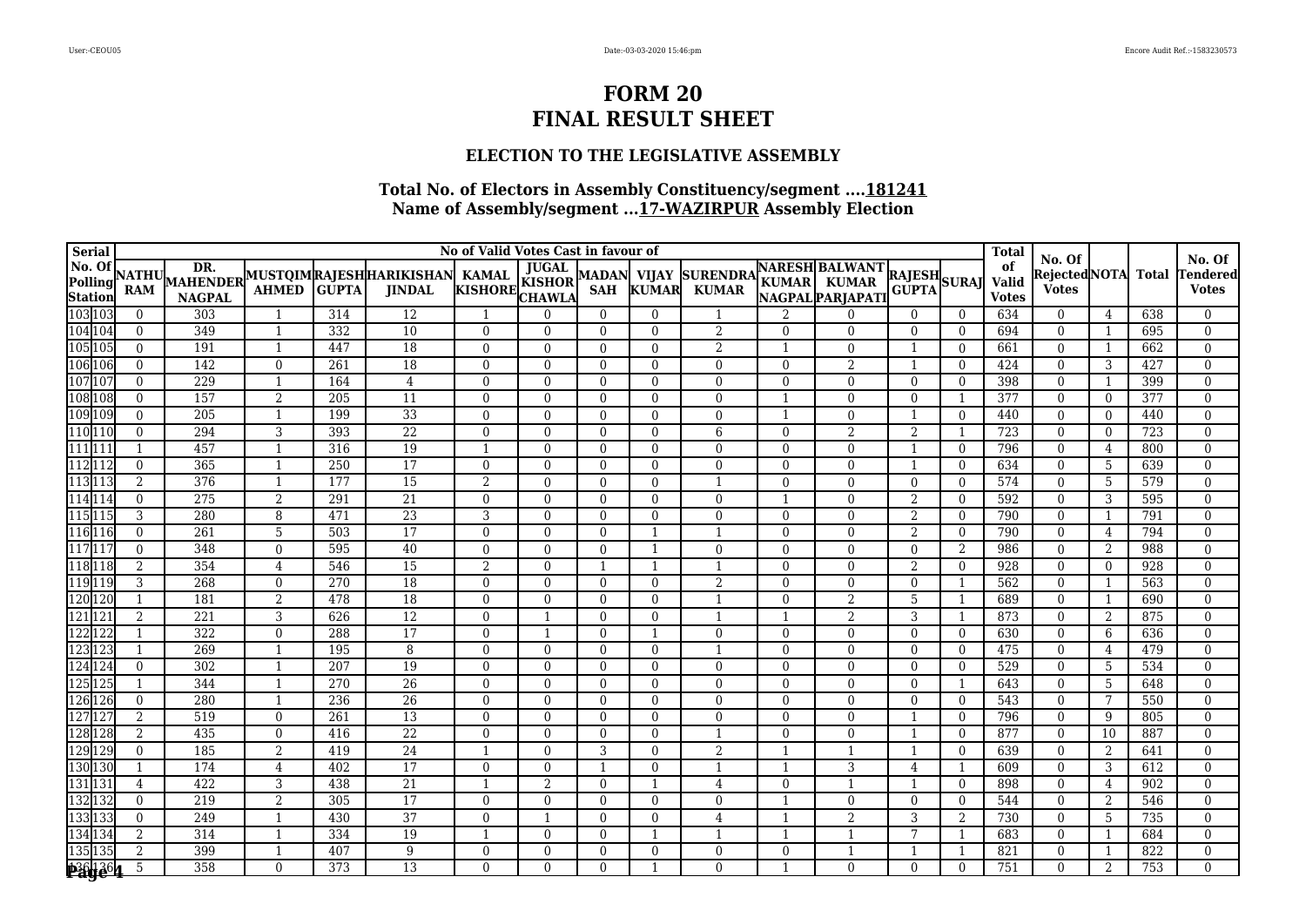### **ELECTION TO THE LEGISLATIVE ASSEMBLY**

| <b>Serial</b>                                                                                       | No of Valid Votes Cast in favour of |               |                |              |                                                         |                |                |                            |                              |                                 |                |                                                          |                              |                | <b>Total</b>                | No. Of                       |                |              | No. Of                  |
|-----------------------------------------------------------------------------------------------------|-------------------------------------|---------------|----------------|--------------|---------------------------------------------------------|----------------|----------------|----------------------------|------------------------------|---------------------------------|----------------|----------------------------------------------------------|------------------------------|----------------|-----------------------------|------------------------------|----------------|--------------|-------------------------|
| <b>No. Of</b><br><b>No. Of</b><br><b>Polling</b><br><b>Station</b><br>103 103<br>104 104<br>105 105 | <b>NATHU</b><br>RAM                 | <b>NAGPAL</b> | <b>AHMED</b>   | <b>GUPTA</b> | MAHENDER MUSTOIMRAJESHHARIKISHAN KAMAL<br><b>JINDAL</b> | KISHORE KISHOR | <b>JUGAL</b>   | <b>MADAN</b><br><b>SAH</b> | <b>VIJAY</b><br><b>KUMAR</b> | <b>SURENDRA</b><br><b>KUMAR</b> |                | <b>NARESH BALWANT</b><br>KUMAR KUMAR<br>NAGPAL PARJAPATI | <b>RAJESH</b><br>GUPTA SURAJ |                | of<br>Valid<br><b>Votes</b> | RejectedNOTA<br><b>Votes</b> |                | <b>Total</b> | endered<br><b>Votes</b> |
|                                                                                                     | $\mathbf{0}$                        | 303           | $\overline{1}$ | 314          | 12                                                      | -1             | $\Omega$       | $\Omega$                   | $\theta$                     |                                 | $\mathfrak{D}$ | $\Omega$                                                 | $\Omega$                     | $\Omega$       | 634                         | $\theta$                     | 4              | 638          | $\Omega$                |
|                                                                                                     | $\Omega$                            | 349           | 1              | 332          | $\overline{10}$                                         | $\Omega$       | $\Omega$       | $\Omega$                   | $\theta$                     | 2                               | $\Omega$       | $\Omega$                                                 | $\Omega$                     | $\Omega$       | 694                         | $\theta$                     | 1              | 695          | $\mathbf{0}$            |
|                                                                                                     | $\mathbf{0}$                        | 191           | $\mathbf{1}$   | 447          | 18                                                      | $\mathbf{0}$   | $\mathbf{0}$   | $\Omega$                   | $\theta$                     | 2                               |                | $\theta$                                                 | -1                           | $\Omega$       | 661                         | $\theta$                     | 1              | 662          | $\mathbf{0}$            |
| 106<br>106<br>107<br>107<br>108<br>108<br>109<br>109                                                | $\mathbf{0}$                        | 142           | $\theta$       | 261          | $\overline{18}$                                         | $\Omega$       | $\overline{0}$ | $\Omega$                   | $\theta$                     | $\theta$                        | $\Omega$       | $\overline{2}$                                           |                              | $\Omega$       | 424                         | $\theta$                     | $\mathbf{3}$   | 427          | $\mathbf{0}$            |
|                                                                                                     | $\mathbf{0}$                        | 229           | 1              | 164          | 4                                                       | $\Omega$       | $\theta$       | $\Omega$                   | $\theta$                     | $\Omega$                        | $\Omega$       | $\Omega$                                                 | $\Omega$                     | $\Omega$       | 398                         | $\theta$                     | 1              | 399          | $\mathbf{0}$            |
|                                                                                                     | $\Omega$                            | 157           | 2              | 205          | 11                                                      | $\Omega$       | $\theta$       | $\Omega$                   | $\theta$                     | $\Omega$                        |                | $\Omega$                                                 | $\Omega$                     |                | 377                         | $\theta$                     | $\theta$       | 377          | $\Omega$                |
|                                                                                                     | $\mathbf{0}$                        | 205           | $\overline{1}$ | 199          | 33                                                      | $\Omega$       | $\theta$       | $\Omega$                   | $\theta$                     | $\Omega$                        |                | $\Omega$                                                 |                              | $\Omega$       | 440                         | $\theta$                     | $\overline{0}$ | 440          | $\mathbf{0}$            |
| 110 110                                                                                             | $\theta$                            | 294           | 3              | 393          | $\overline{22}$                                         | $\mathbf{0}$   | $\theta$       | $\mathbf{0}$               | $\Omega$                     | 6                               | $\Omega$       | $\overline{2}$                                           | 2                            |                | 723                         | $\Omega$                     | $\overline{0}$ | 723          | $\mathbf{0}$            |
| 111 111                                                                                             |                                     | 457           | 1              | 316          | 19                                                      | $\overline{1}$ | $\Omega$       | $\mathbf{0}$               | $\theta$                     | $\overline{0}$                  | $\Omega$       | $\Omega$                                                 |                              | $\Omega$       | 796                         | $\Omega$                     | $\overline{4}$ | 800          | $\mathbf{0}$            |
| 112 112                                                                                             | $\theta$                            | 365           | 1              | 250          | $\overline{17}$                                         | $\Omega$       | $\Omega$       | $\Omega$                   | $\theta$                     | $\Omega$                        | $\Omega$       | $\Omega$                                                 |                              | $\Omega$       | 634                         | $\theta$                     | -5             | 639          | $\Omega$                |
| 113 113                                                                                             | $\overline{2}$                      | 376           | 1              | 177          | 15                                                      | 2              | $\Omega$       | $\Omega$                   | $\theta$                     | $\mathbf{1}$                    | $\Omega$       | $\Omega$                                                 | $\theta$                     | $\Omega$       | 574                         | $\theta$                     | -5             | 579          | $\mathbf{0}$            |
| 114 114                                                                                             | $\theta$                            | 275           | 2              | 291          | $\overline{21}$                                         | $\Omega$       | $\theta$       | $\Omega$                   | $\theta$                     | $\overline{0}$                  |                | $\Omega$                                                 | 2                            | $\theta$       | 592                         | $\theta$                     | 3              | 595          | $\mathbf{0}$            |
| 115 115                                                                                             | 3                                   | 280           | 8              | 471          | $\overline{23}$                                         | 3              | $\mathbf{0}$   | $\mathbf{0}$               | $\theta$                     | $\theta$                        | $\Omega$       | $\theta$                                                 | 2                            | $\theta$       | 790                         | $\theta$                     | 1              | 791          | $\mathbf{0}$            |
| 116<br>117<br>117<br>117                                                                            | $\Omega$                            | 261           | 5              | 503          | $\overline{17}$                                         | $\Omega$       | $\mathbf{0}$   | $\mathbf{0}$               |                              |                                 | $\Omega$       | $\Omega$                                                 | 2                            | $\Omega$       | 790                         | $\theta$                     | 4              | 794          | $\Omega$                |
|                                                                                                     | $\Omega$                            | 348           | $\Omega$       | 595          | 40                                                      | $\Omega$       | $\theta$       | $\Omega$                   | -1                           | $\Omega$                        | $\Omega$       | $\Omega$                                                 | $\overline{0}$               | $\overline{2}$ | 986                         | $\theta$                     | 2              | 988          | $\Omega$                |
| 118 118                                                                                             | $\overline{2}$                      | 354           | $\overline{4}$ | 546          | $\overline{15}$                                         | $\overline{2}$ | $\theta$       |                            |                              |                                 | $\Omega$       | $\overline{0}$                                           | 2                            | $\Omega$       | 928                         | $\theta$                     | $\overline{0}$ | 928          | $\Omega$                |
| 119 119                                                                                             | 3                                   | 268           | $\theta$       | 270          | $\overline{18}$                                         | $\Omega$       | $\Omega$       | $\Omega$                   | $\Omega$                     | $\overline{2}$                  | $\Omega$       | $\mathbf{0}$                                             | $\overline{0}$               |                | 562                         | $\theta$                     | $\mathbf{1}$   | 563          | $\Omega$                |
| 120 120<br>121 121                                                                                  |                                     | 181           | 2              | 478          | $\overline{18}$                                         | $\Omega$       | $\overline{0}$ | $\Omega$                   | $\theta$                     | $\mathbf{1}$                    | $\Omega$       | 2                                                        | 5                            |                | 689                         | $\theta$                     | 1              | 690          | $\mathbf{0}$            |
|                                                                                                     | $\overline{2}$                      | 221           | 3              | 626          | 12                                                      | $\Omega$       | $\mathbf{1}$   | $\Omega$                   | $\theta$                     | $\overline{1}$                  |                | 2                                                        | 3                            |                | 873                         | $\theta$                     | 2              | 875          | $\mathbf{0}$            |
| 122 122                                                                                             | $\mathbf{1}$                        | 322           | $\theta$       | 288          | $\overline{17}$                                         | $\Omega$       | 1              | $\Omega$                   | $\mathbf{1}$                 | $\theta$                        | $\Omega$       | $\theta$                                                 | $\Omega$                     | $\theta$       | 630                         | $\theta$                     | 6              | 636          | $\mathbf{0}$            |
| 123123<br>124124                                                                                    | 1                                   | 269           | $\mathbf{1}$   | 195          | 8                                                       | $\Omega$       | $\theta$       | $\Omega$                   | $\theta$                     | $\overline{1}$                  | $\Omega$       | $\theta$                                                 | $\Omega$                     | $\Omega$       | 475                         | $\theta$                     | 4              | 479          | $\mathbf{0}$            |
|                                                                                                     | $\mathbf{0}$                        | 302           | $\overline{1}$ | 207          | 19                                                      | $\Omega$       | $\theta$       | $\Omega$                   | $\theta$                     | $\theta$                        | $\Omega$       | $\theta$                                                 | $\Omega$                     | $\theta$       | 529                         | $\theta$                     | 5              | 534          | $\mathbf{0}$            |
| 125 125                                                                                             | -1                                  | 344           | 1              | 270          | $\overline{26}$                                         | $\mathbf{0}$   | $\mathbf{0}$   | $\mathbf{0}$               | $\theta$                     | $\overline{0}$                  | $\Omega$       | $\overline{0}$                                           | $\overline{0}$               |                | 643                         | $\overline{0}$               | -5             | 648          | $\mathbf{0}$            |
| 126 126                                                                                             | $\mathbf{0}$                        | 280           | $\overline{1}$ | 236          | 26                                                      | $\Omega$       | $\theta$       | $\Omega$                   | $\theta$                     | $\Omega$                        | $\Omega$       | $\Omega$                                                 | $\Omega$                     | $\Omega$       | 543                         | $\theta$                     | 7              | 550          | $\Omega$                |
| 127<br>$ 12\rangle$                                                                                 | $\overline{2}$                      | 519           | $\theta$       | 261          | 13                                                      | $\Omega$       | $\theta$       | $\Omega$                   | $\Omega$                     | $\Omega$                        | $\Omega$       | $\Omega$                                                 |                              | $\Omega$       | 796                         | $\Omega$                     | 9              | 805          | $\theta$                |
| 128 128                                                                                             | $\overline{2}$                      | 435           | $\theta$       | 416          | $\overline{22}$                                         | $\Omega$       | $\Omega$       | $\Omega$                   | $\Omega$                     | $\mathbf{1}$                    | $\Omega$       | $\Omega$                                                 |                              | $\Omega$       | 877                         | $\theta$                     | 10             | 887          | $\mathbf{0}$            |
| 129 129                                                                                             | $\theta$                            | 185           | 2              | 419          | $\overline{24}$                                         | -1             | $\overline{0}$ | 3                          | $\theta$                     | $\overline{2}$                  |                |                                                          |                              | $\Omega$       | 639                         | $\overline{0}$               | 2              | 641          | $\mathbf{0}$            |
| 130 130                                                                                             | -1                                  | 174           | 4              | 402          | 17                                                      | $\Omega$       | $\Omega$       | -1                         | $\theta$                     | $\mathbf{1}$                    |                | 3                                                        | 4                            |                | 609                         | $\theta$                     | 3              | 612          | $\Omega$                |
| 131 131                                                                                             | $\overline{4}$                      | 422           | 3              | 438          | 21                                                      | $\mathbf{1}$   | $\overline{2}$ | $\Omega$                   | $\mathbf{1}$                 | $\overline{4}$                  | $\Omega$       |                                                          |                              | $\Omega$       | 898                         | $\theta$                     | $\overline{4}$ | 902          | $\Omega$                |
| 132 132                                                                                             | $\theta$                            | 219           | 2              | 305          | $\overline{17}$                                         | $\Omega$       | $\theta$       | $\Omega$                   | $\Omega$                     | $\theta$                        |                | $\Omega$                                                 | $\theta$                     | $\Omega$       | 544                         | $\theta$                     | $\overline{2}$ | 546          | $\Omega$                |
| 133 133                                                                                             | $\Omega$                            | 249           | $\mathbf{1}$   | 430          | $\overline{37}$                                         | $\Omega$       | $\mathbf{1}$   | $\Omega$                   | $\theta$                     | $\overline{4}$                  |                | $\overline{2}$                                           | 3                            | 2              | 730                         | $\theta$                     | 5              | 735          | $\Omega$                |
| 134 134                                                                                             | $\overline{2}$                      | 314           | 1              | 334          | 19                                                      | -1             | $\mathbf{0}$   | $\mathbf{0}$               | -1                           |                                 |                |                                                          | 7                            |                | 683                         | $\mathbf{0}$                 | 1              | 684          | $\mathbf{0}$            |
|                                                                                                     | $\overline{2}$                      | 399           | $\mathbf{1}$   | 407          | 9                                                       | $\Omega$       | $\Omega$       | $\Omega$                   | $\Omega$                     | $\Omega$                        | $\Omega$       |                                                          |                              |                | 821                         | $\theta$                     | 1              | 822          | $\Omega$                |
| 135 135<br>289 264                                                                                  | 5                                   | 358           | $\theta$       | 373          | 13                                                      | $\Omega$       | $\Omega$       | $\Omega$                   |                              | $\Omega$                        |                | $\Omega$                                                 | $\Omega$                     | $\Omega$       | 751                         | $\Omega$                     | $\overline{2}$ | 753          | $\Omega$                |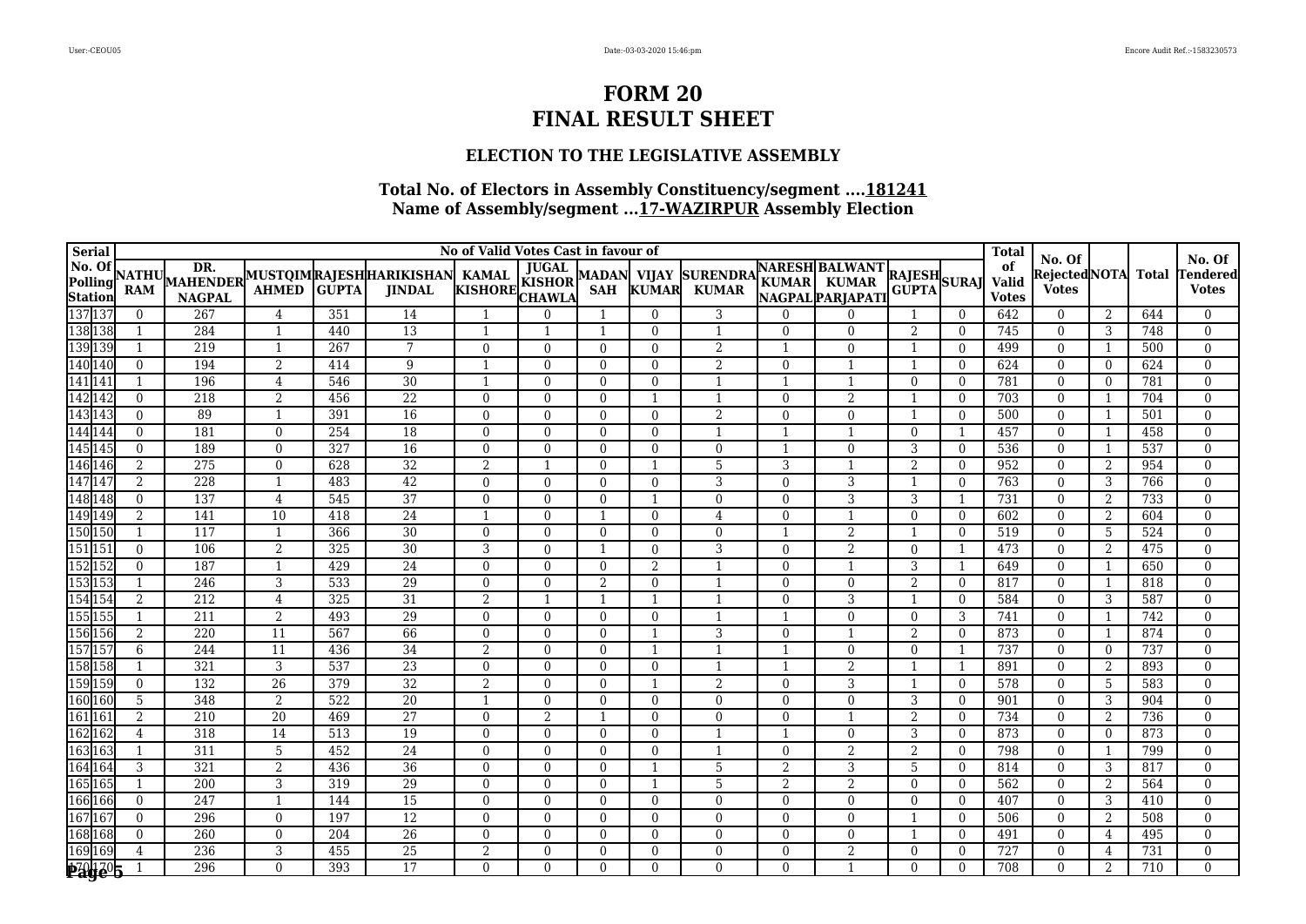### **ELECTION TO THE LEGISLATIVE ASSEMBLY**

| <b>Serial</b>                                                           | No of Valid Votes Cast in favour of |                  |                |            |                                                         |                         |                            |                            |                              |                                 |                |                                                          |                              |                | <b>Total</b>                |                                        |                |              | No. Of                   |
|-------------------------------------------------------------------------|-------------------------------------|------------------|----------------|------------|---------------------------------------------------------|-------------------------|----------------------------|----------------------------|------------------------------|---------------------------------|----------------|----------------------------------------------------------|------------------------------|----------------|-----------------------------|----------------------------------------|----------------|--------------|--------------------------|
| <b>No. Of</b><br><b>Polling</b><br><b>Station</b><br>137 137<br>138 138 | <b>NATHU</b><br><b>RAM</b>          | <b>NAGPAL</b>    | <b>AHMED</b>   | GŬPTA      | MAHENDER MUSTOIMRAJESHHARIKISHAN KAMAL<br><b>JINDAL</b> | KAMAL<br>KISHORE CHAWLA | <b>JUGAL</b>               | <b>MADAN</b><br><b>SAH</b> | <b>VIJAY</b><br><b>KUMAR</b> | <b>SURENDRA</b><br><b>KUMAR</b> |                | <b>NARESH BALWANT</b><br>KUMAR KUMAR<br>NAGPAL PARJAPATI | <b>RAJESH</b><br>GUPTA SURAJ |                | of<br>Valid<br><b>Votes</b> | No. Of<br>RejectedNOTA<br><b>Votes</b> |                | <b>Total</b> | endered<br><b>Votes</b>  |
|                                                                         | $\mathbf{0}$                        | 267              | $\overline{4}$ | 351        | 14                                                      | -1                      | $\Omega$                   |                            | $\theta$                     | 3                               | $\Omega$       | $\Omega$                                                 |                              | $\Omega$       | 642                         | $\theta$                               | 2              | 644          | $\mathbf{0}$             |
|                                                                         | 1                                   | 284              | 1              | 440        | 13                                                      | -1                      | $\mathbf{1}$               |                            | $\theta$                     | $\overline{1}$                  | $\Omega$       | $\Omega$                                                 | 2                            | $\overline{0}$ | 745                         | $\overline{0}$                         | 3              | 748          | $\mathbf{0}$             |
|                                                                         | $\mathbf{1}$                        | 219              | 1              | 267        | $7\phantom{.0}$                                         | $\Omega$                | $\theta$                   | $\Omega$                   | $\theta$                     | 2                               | -1             | $\theta$                                                 | -1                           | $\Omega$       | 499                         | $\theta$                               | 1              | 500          | $\mathbf{0}$             |
|                                                                         | $\mathbf{0}$                        | 194              | 2              | 414        | 9                                                       | -1                      | $\Omega$                   | $\Omega$                   | $\Omega$                     | 2                               | $\Omega$       |                                                          | $\mathbf{1}$                 | $\Omega$       | 624                         | $\Omega$                               | $\theta$       | 624          | $\mathbf{0}$             |
|                                                                         | $\mathbf{1}$                        | 196              | $\overline{4}$ | 546        | 30                                                      | $\mathbf{1}$            | $\Omega$                   | $\Omega$                   | $\theta$                     | $\mathbf{1}$                    |                |                                                          | $\theta$                     | $\Omega$       | 781                         | $\theta$                               | $\theta$       | 781          | $\mathbf{0}$             |
| 139 139<br>139 139<br>140 140<br>141 141<br>142 142                     | $\Omega$                            | 218              | $\overline{2}$ | 456        | $\overline{22}$                                         | $\Omega$                | $\theta$                   | $\Omega$                   | -1                           | $\mathbf{1}$                    | $\Omega$       | $\overline{2}$                                           |                              | $\Omega$       | 703                         | $\overline{0}$                         | 1              | 704          | $\mathbf{0}$             |
| 143<br>144<br>144                                                       | $\mathbf{0}$                        | 89               | $\overline{1}$ | 391        | 16                                                      | $\mathbf{0}$            | $\overline{0}$             | $\mathbf{0}$               | $\theta$                     | $\overline{2}$                  | $\Omega$       | $\theta$                                                 |                              | $\Omega$       | 500                         | $\overline{0}$                         | -1             | 501          | $\mathbf{0}$             |
|                                                                         | $\Omega$                            | 181              | $\mathbf{0}$   | 254        | 18                                                      | $\mathbf{0}$            | $\Omega$                   | $\mathbf{0}$               | $\theta$                     | $\mathbf{1}$                    |                |                                                          | $\Omega$                     |                | 457                         | $\Omega$                               | 1              | 458          | $\mathbf{0}$             |
| $\frac{111111}{145145}$<br>146 146                                      | $\theta$                            | 189              | $\theta$       | 327        | 16                                                      | $\Omega$                | $\Omega$                   | $\Omega$                   | $\theta$                     | $\theta$                        |                | $\Omega$                                                 | 3                            | $\Omega$       | 536                         | $\theta$                               | 1              | 537          | $\Omega$                 |
|                                                                         | $\overline{2}$                      | 275              | $\overline{0}$ | 628        | $\overline{32}$                                         | 2                       | $\mathbf{1}$               | $\Omega$                   | $\mathbf{1}$                 | 5                               | 3              |                                                          | 2                            | $\Omega$       | 952                         | $\theta$                               | 2              | 954          | $\mathbf{0}$             |
| 147 147                                                                 | 2                                   | 228              | $\overline{1}$ | 483        | $\overline{42}$                                         | $\Omega$                | $\Omega$                   | $\Omega$                   | $\theta$                     | 3                               | $\Omega$       | 3                                                        |                              | $\Omega$       | 763                         | $\theta$                               | 3              | 766          | $\Omega$                 |
| 148 148                                                                 | $\Omega$                            | 137              | $\overline{4}$ | 545        | $\overline{37}$                                         | $\Omega$                | $\theta$                   | $\Omega$                   | $\mathbf{1}$                 | $\theta$                        | $\Omega$       | 3                                                        | 3                            |                | 731                         | $\theta$                               | $\overline{2}$ | 733          | $\Omega$                 |
| 149<br>150<br>150<br>150                                                | $\overline{2}$                      | 141              | 10             | 418        | $\overline{24}$                                         | -1                      | $\theta$                   |                            | $\theta$                     | $\overline{4}$                  | $\Omega$       |                                                          | $\Omega$                     | $\theta$       | 602                         | $\theta$                               | $\overline{2}$ | 604          | $\Omega$                 |
|                                                                         |                                     | $\overline{117}$ | 1              | 366        | $\overline{30}$                                         | $\mathbf{0}$            | $\mathbf{0}$               | $\mathbf{0}$               | $\theta$                     | $\overline{0}$                  |                | $\overline{2}$                                           |                              | $\theta$       | 519                         | $\overline{0}$                         | -5             | 524          | $\mathbf{0}$             |
|                                                                         | $\theta$                            | 106              | 2              | 325        | $\overline{30}$                                         | 3                       | $\Omega$                   |                            | $\Omega$                     | 3                               | $\theta$       | $\overline{2}$                                           | $\overline{0}$               |                | 473                         | $\theta$                               | 2              | 475          | $\Omega$                 |
|                                                                         | $\Omega$                            | 187              | $\overline{1}$ | 429        | 24                                                      | $\Omega$                | $\Omega$                   | $\Omega$                   | 2                            | $\overline{1}$                  | $\Omega$       |                                                          | 3                            |                | 649                         | $\Omega$                               | 1              | 650          | $\Omega$                 |
|                                                                         |                                     | 246              | 3              | 533        | 29                                                      | $\Omega$                | $\Omega$                   | $\overline{2}$             | $\theta$                     | $\mathbf{1}$                    | $\Omega$       | $\Omega$                                                 | 2                            | $\Omega$       | 817                         | $\theta$                               | 1              | 818          | $\mathbf{0}$             |
|                                                                         | 2                                   | 212              | $\overline{4}$ | 325        | 31                                                      | 2                       | $\mathbf{1}$               |                            | $\mathbf{1}$                 | $\overline{1}$                  | $\Omega$       | 3                                                        | $\overline{1}$               | $\overline{0}$ | 584                         | $\overline{0}$                         | 3              | 587          | $\mathbf{0}$             |
| 155<br>155<br>156<br>156                                                | $\mathbf 1$                         | 211              | $\overline{2}$ | 493        | 29                                                      | $\mathbf{0}$            | $\mathbf{0}$               | $\mathbf{0}$               | $\theta$<br>$\mathbf{1}$     | $\overline{1}$                  |                | $\overline{0}$                                           | $\overline{0}$               | 3              | 741                         | $\theta$                               | -1             | 742          | $\mathbf{0}$             |
|                                                                         | 2<br>6                              | 220<br>244       | 11<br>11       | 567<br>436 | 66<br>34                                                | $\Omega$<br>2           | $\overline{0}$<br>$\theta$ | $\Omega$<br>$\Omega$       | -1                           | 3                               | $\Omega$       | $\theta$                                                 | 2<br>$\Omega$                | $\Omega$       | 873<br>737                  | $\Omega$<br>$\theta$                   | 1<br>$\theta$  | 874<br>737   | $\mathbf{0}$<br>$\Omega$ |
| 157157<br>158158                                                        |                                     | 321              | 3              | 537        | $\overline{23}$                                         | $\Omega$                | $\theta$                   | $\Omega$                   | $\theta$                     |                                 |                | $\overline{2}$                                           |                              |                | 891                         | $\theta$                               | 2              | 893          | $\mathbf{0}$             |
| 159 159                                                                 | $\theta$                            | 132              | 26             | 379        | $\overline{32}$                                         | $\overline{2}$          | $\Omega$                   | $\mathbf{0}$               | -1                           | $\overline{2}$                  | $\Omega$       | 3                                                        |                              | $\Omega$       | 578                         | $\theta$                               | 5              | 583          | $\mathbf{0}$             |
| 160 160                                                                 | 5                                   | 348              | 2              | 522        | $\overline{20}$                                         | $\mathbf{1}$            | $\Omega$                   | $\Omega$                   | $\Omega$                     | $\Omega$                        | $\Omega$       | $\Omega$                                                 | 3                            | $\Omega$       | 901                         | $\Omega$                               | 3              | 904          | $\theta$                 |
| 161 161                                                                 | $\overline{2}$                      | 210              | 20             | 469        | $\overline{27}$                                         | $\mathbf{0}$            | $\overline{2}$             |                            | $\Omega$                     | $\overline{0}$                  | $\Omega$       |                                                          | 2                            | $\Omega$       | 734                         | $\mathbf{0}$                           | $\overline{2}$ | 736          | $\mathbf{0}$             |
| 162 162                                                                 | 4                                   | 318              | 14             | 513        | 19                                                      | $\mathbf{0}$            | $\mathbf{0}$               | $\mathbf{0}$               | $\Omega$                     | $\mathbf{1}$                    |                | $\mathbf{0}$                                             | 3                            | $\overline{0}$ | 873                         | $\mathbf{0}$                           | $\overline{0}$ | 873          | $\mathbf{0}$             |
| 163 163                                                                 |                                     | 311              | 5              | 452        | $\overline{24}$                                         | $\Omega$                | $\Omega$                   | $\theta$                   | $\Omega$                     | $\mathbf{1}$                    | $\Omega$       | 2                                                        | 2                            | $\Omega$       | 798                         | $\theta$                               | 1              | 799          | $\Omega$                 |
| 164 164                                                                 | 3                                   | 321              | 2              | 436        | 36                                                      | $\Omega$                | $\Omega$                   | $\Omega$                   | $\mathbf{1}$                 | 5                               | $\overline{2}$ | 3                                                        | 5                            | $\theta$       | 814                         | $\theta$                               | 3              | 817          | $\Omega$                 |
|                                                                         |                                     | 200              | 3              | 319        | $\overline{29}$                                         | $\Omega$                | $\Omega$                   | $\Omega$                   | $\mathbf{1}$                 | 5                               | $\overline{a}$ | 2                                                        | $\theta$                     | $\theta$       | 562                         | $\theta$                               | 2              | 564          | $\Omega$                 |
| 165<br>166<br>166<br>166                                                | $\mathbf{0}$                        | 247              | 1              | 144        | $\overline{15}$                                         | $\Omega$                | $\mathbf{0}$               | $\Omega$                   | $\theta$                     | $\overline{0}$                  | $\Omega$       | $\overline{0}$                                           | $\overline{0}$               | $\Omega$       | 407                         | $\overline{0}$                         | 3              | 410          | $\Omega$                 |
|                                                                         | $\mathbf{0}$                        | 296              | $\overline{0}$ | 197        | $\overline{12}$                                         | $\Omega$                | $\theta$                   | $\mathbf{0}$               | $\theta$                     | $\Omega$                        | $\Omega$       | $\mathbf{0}$                                             |                              | $\Omega$       | 506                         | $\theta$                               | $\overline{2}$ | 508          | $\Omega$                 |
|                                                                         | $\theta$                            | 260              | $\mathbf{0}$   | 204        | $\overline{26}$                                         | $\Omega$                | $\overline{0}$             | $\mathbf{0}$               | $\Omega$                     | $\Omega$                        | $\Omega$       | $\mathbf{0}$                                             |                              | $\overline{0}$ | 491                         | $\Omega$                               | $\overline{4}$ | 495          | $\mathbf{0}$             |
| 167<br>168<br>168<br>169<br>169<br>169                                  | $\overline{4}$                      | 236              | 3              | 455        | $\overline{25}$                                         | 2                       | $\Omega$                   | $\Omega$                   | $\theta$                     | $\theta$                        | $\Omega$       | $\overline{2}$                                           | $\theta$                     | $\Omega$       | 727                         | $\Omega$                               | 4              | 731          | $\mathbf{0}$             |
| <b>Page 5</b>                                                           |                                     | 296              | $\theta$       | 393        | $\overline{17}$                                         | $\Omega$                | $\Omega$                   | $\Omega$                   | $\Omega$                     | $\Omega$                        | $\Omega$       |                                                          | $\Omega$                     | $\Omega$       | 708                         | $\Omega$                               | 2              | 710          | $\Omega$                 |